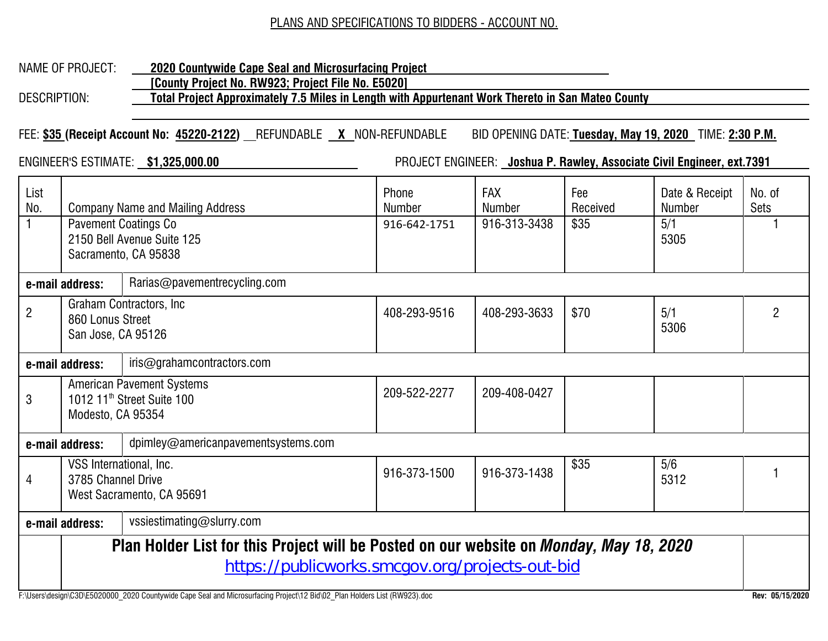#### PLANS AND SPECIFICATIONS TO BIDDERS - ACCOUNT NO.

## NAME OF PROJECT: **2020 Countywide Cape Seal and Microsurfacing Project**

 **[County Project No. RW923; Project File No. E5020]**

DESCRIPTION: **Total Project Approximately 7.5 Miles in Length with Appurtenant Work Thereto in San Mateo County**

FEE: **\$35 (Receipt Account No: 45220-2122)** REFUNDABLE **X** NON-REFUNDABLE BID OPENING DATE: **Tuesday, May 19, 2020** TIME: **2:30 P.M.**

ENGINEER'S ESTIMATE: **\$1,325,000.00** PROJECT ENGINEER: **Joshua P. Rawley, Associate Civil Engineer, ext.7391**

| List<br>No.                                            | <b>Company Name and Mailing Address</b><br><b>Pavement Coatings Co</b><br>2150 Bell Avenue Suite 125<br>Sacramento, CA 95838                      |                              | Phone<br><b>Number</b><br>916-642-1751 | <b>FAX</b><br>Number<br>916-313-3438 | Fee<br>Received<br>\$35 | Date & Receipt<br><b>Number</b><br>5/1<br>5305 | No. of<br><b>Sets</b> |  |  |  |
|--------------------------------------------------------|---------------------------------------------------------------------------------------------------------------------------------------------------|------------------------------|----------------------------------------|--------------------------------------|-------------------------|------------------------------------------------|-----------------------|--|--|--|
| e-mail address:                                        |                                                                                                                                                   | Rarias@pavementrecycling.com |                                        |                                      |                         |                                                |                       |  |  |  |
| $\overline{2}$                                         | 860 Lonus Street<br>San Jose, CA 95126                                                                                                            | Graham Contractors, Inc.     | 408-293-9516                           | 408-293-3633                         | \$70                    | 5/1<br>5306                                    | $\overline{2}$        |  |  |  |
|                                                        | iris@grahamcontractors.com<br>e-mail address:                                                                                                     |                              |                                        |                                      |                         |                                                |                       |  |  |  |
| 3                                                      | <b>American Pavement Systems</b><br>1012 11 <sup>th</sup> Street Suite 100<br>Modesto, CA 95354                                                   |                              | 209-522-2277                           | 209-408-0427                         |                         |                                                |                       |  |  |  |
| dpimley@americanpavementsystems.com<br>e-mail address: |                                                                                                                                                   |                              |                                        |                                      |                         |                                                |                       |  |  |  |
| 4                                                      | VSS International, Inc.<br>3785 Channel Drive                                                                                                     | West Sacramento, CA 95691    | 916-373-1500                           | 916-373-1438                         | \$35                    | 5/6<br>5312                                    |                       |  |  |  |
|                                                        | e-mail address:                                                                                                                                   | vssiestimating@slurry.com    |                                        |                                      |                         |                                                |                       |  |  |  |
|                                                        | Plan Holder List for this Project will be Posted on our website on <i>Monday, May 18, 2020</i><br>https://publicworks.smcgov.org/projects-out-bid |                              |                                        |                                      |                         |                                                |                       |  |  |  |